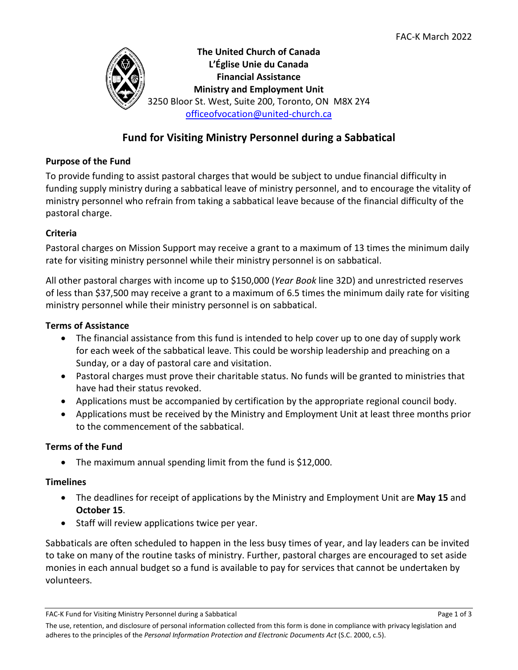

# **Fund for Visiting Ministry Personnel during a Sabbatical**

#### **Purpose of the Fund**

To provide funding to assist pastoral charges that would be subject to undue financial difficulty in funding supply ministry during a sabbatical leave of ministry personnel, and to encourage the vitality of ministry personnel who refrain from taking a sabbatical leave because of the financial difficulty of the pastoral charge.

### **Criteria**

Pastoral charges on Mission Support may receive a grant to a maximum of 13 times the minimum daily rate for visiting ministry personnel while their ministry personnel is on sabbatical.

All other pastoral charges with income up to \$150,000 (*Year Book* line 32D) and unrestricted reserves of less than \$37,500 may receive a grant to a maximum of 6.5 times the minimum daily rate for visiting ministry personnel while their ministry personnel is on sabbatical.

#### **Terms of Assistance**

- The financial assistance from this fund is intended to help cover up to one day of supply work for each week of the sabbatical leave. This could be worship leadership and preaching on a Sunday, or a day of pastoral care and visitation.
- Pastoral charges must prove their charitable status. No funds will be granted to ministries that have had their status revoked.
- Applications must be accompanied by certification by the appropriate regional council body.
- Applications must be received by the Ministry and Employment Unit at least three months prior to the commencement of the sabbatical.

### **Terms of the Fund**

• The maximum annual spending limit from the fund is \$12,000.

### **Timelines**

- The deadlines for receipt of applications by the Ministry and Employment Unit are **May 15** and **October 15**.
- Staff will review applications twice per year.

Sabbaticals are often scheduled to happen in the less busy times of year, and lay leaders can be invited to take on many of the routine tasks of ministry. Further, pastoral charges are encouraged to set aside monies in each annual budget so a fund is available to pay for services that cannot be undertaken by volunteers.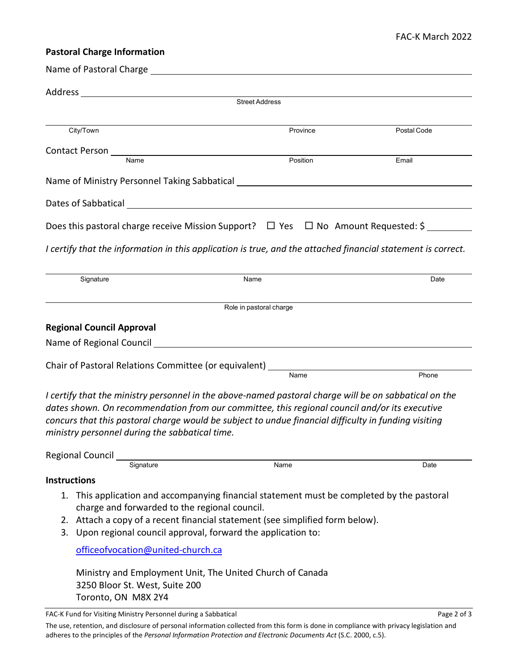## **Pastoral Charge Information**

| Name of Pastoral Charge and the state of Pastoral Charge                                                                                                                                                                                                                                                                                                         |                         |             |
|------------------------------------------------------------------------------------------------------------------------------------------------------------------------------------------------------------------------------------------------------------------------------------------------------------------------------------------------------------------|-------------------------|-------------|
| Address<br><u> 1980 - Johann Barnett, fransk politiker (d. 1980)</u>                                                                                                                                                                                                                                                                                             |                         |             |
|                                                                                                                                                                                                                                                                                                                                                                  | Street Address          |             |
| City/Town                                                                                                                                                                                                                                                                                                                                                        | Province                | Postal Code |
|                                                                                                                                                                                                                                                                                                                                                                  |                         |             |
| Name                                                                                                                                                                                                                                                                                                                                                             | Position                | Email       |
| Name of Ministry Personnel Taking Sabbatical ___________________________________                                                                                                                                                                                                                                                                                 |                         |             |
|                                                                                                                                                                                                                                                                                                                                                                  |                         |             |
| Does this pastoral charge receive Mission Support? $\Box$ Yes $\Box$ No Amount Requested: \$                                                                                                                                                                                                                                                                     |                         |             |
| I certify that the information in this application is true, and the attached financial statement is correct.                                                                                                                                                                                                                                                     |                         |             |
| Signature                                                                                                                                                                                                                                                                                                                                                        | Name                    | Date        |
|                                                                                                                                                                                                                                                                                                                                                                  | Role in pastoral charge |             |
| <b>Regional Council Approval</b>                                                                                                                                                                                                                                                                                                                                 |                         |             |
|                                                                                                                                                                                                                                                                                                                                                                  |                         |             |
|                                                                                                                                                                                                                                                                                                                                                                  |                         |             |
| Chair of Pastoral Relations Committee (or equivalent) __________________________                                                                                                                                                                                                                                                                                 |                         | Phone       |
| I certify that the ministry personnel in the above-named pastoral charge will be on sabbatical on the<br>dates shown. On recommendation from our committee, this regional council and/or its executive<br>concurs that this pastoral charge would be subject to undue financial difficulty in funding visiting<br>ministry personnel during the sabbatical time. |                         |             |
| <b>Regional Council</b>                                                                                                                                                                                                                                                                                                                                          |                         |             |
| Signature                                                                                                                                                                                                                                                                                                                                                        | Name                    | Date        |
| <b>Instructions</b>                                                                                                                                                                                                                                                                                                                                              |                         |             |
| 1. This application and accompanying financial statement must be completed by the pastoral<br>charge and forwarded to the regional council.<br>2. Attach a copy of a recent financial statement (see simplified form below).<br>3. Upon regional council approval, forward the application to:                                                                   |                         |             |
| officeofvocation@united-church.ca                                                                                                                                                                                                                                                                                                                                |                         |             |
| Ministry and Employment Unit, The United Church of Canada<br>3250 Bloor St. West, Suite 200<br>Toronto, ON M8X 2Y4                                                                                                                                                                                                                                               |                         |             |
| FAC-K Fund for Visiting Ministry Personnel during a Sabbatical                                                                                                                                                                                                                                                                                                   |                         | Page 2 of 3 |

The use, retention, and disclosure of personal information collected from this form is done in compliance with privacy legislation and adheres to the principles of the *Personal Information Protection and Electronic Documents Act* (S.C. 2000, c.5).